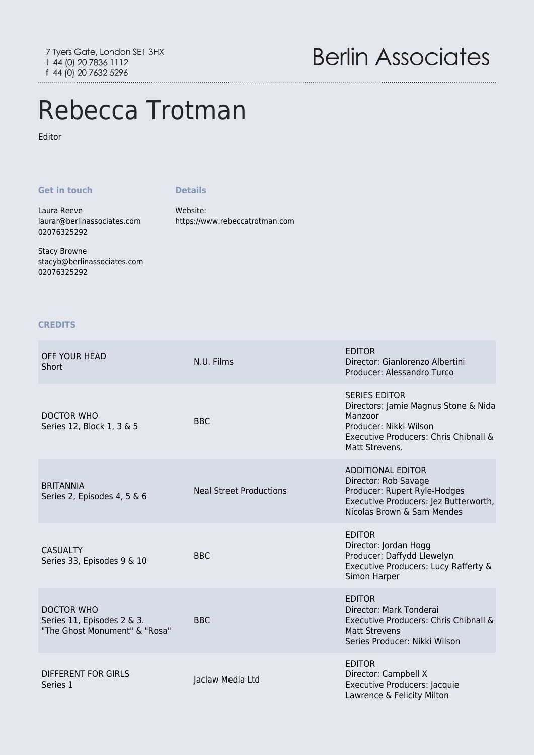# Rebecca Trotman

## Editor

#### **Get in touch**

#### **Details**

Laura Reeve [laurar@berlinassociates.com](mailto:laurar@berlinassociates.com) 02076325292

Stacy Browne [stacyb@berlinassociates.com](mailto:stacyb@berlinassociates.com) 02076325292

# Website: <https://www.rebeccatrotman.com>

### **CREDITS**

| OFF YOUR HEAD<br>Short                                                    | N.U. Films                     | <b>EDITOR</b><br>Director: Gianlorenzo Albertini<br>Producer: Alessandro Turco                                                                               |
|---------------------------------------------------------------------------|--------------------------------|--------------------------------------------------------------------------------------------------------------------------------------------------------------|
| DOCTOR WHO<br>Series 12, Block 1, 3 & 5                                   | <b>BBC</b>                     | <b>SERIES EDITOR</b><br>Directors: Jamie Magnus Stone & Nida<br>Manzoor<br>Producer: Nikki Wilson<br>Executive Producers: Chris Chibnall &<br>Matt Strevens. |
| <b>BRITANNIA</b><br>Series 2, Episodes 4, 5 & 6                           | <b>Neal Street Productions</b> | <b>ADDITIONAL EDITOR</b><br>Director: Rob Savage<br>Producer: Rupert Ryle-Hodges<br>Executive Producers: Jez Butterworth,<br>Nicolas Brown & Sam Mendes      |
| <b>CASUALTY</b><br>Series 33, Episodes 9 & 10                             | <b>BBC</b>                     | <b>EDITOR</b><br>Director: Jordan Hogg<br>Producer: Daffydd Llewelyn<br>Executive Producers: Lucy Rafferty &<br>Simon Harper                                 |
| DOCTOR WHO<br>Series 11, Episodes 2 & 3.<br>"The Ghost Monument" & "Rosa" | <b>BBC</b>                     | <b>EDITOR</b><br>Director: Mark Tonderai<br>Executive Producers: Chris Chibnall &<br><b>Matt Strevens</b><br>Series Producer: Nikki Wilson                   |
| <b>DIFFERENT FOR GIRLS</b><br>Series 1                                    | Jaclaw Media Ltd               | <b>EDITOR</b><br>Director: Campbell X<br>Executive Producers: Jacquie<br>Lawrence & Felicity Milton                                                          |